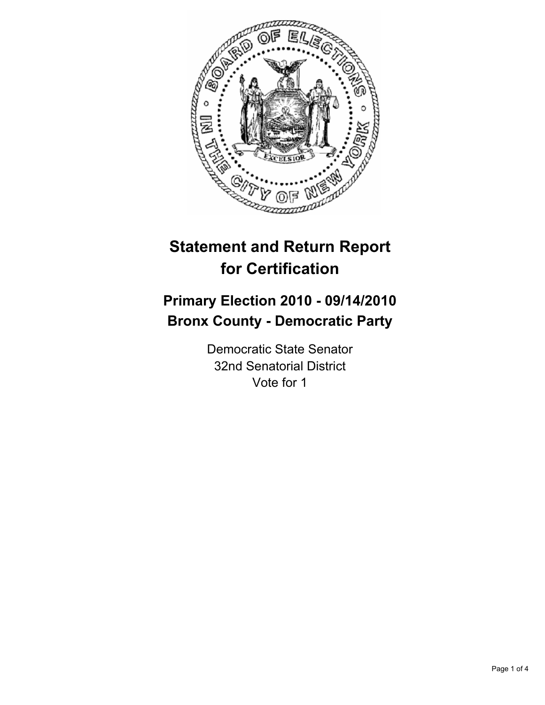

# **Statement and Return Report for Certification**

# **Primary Election 2010 - 09/14/2010 Bronx County - Democratic Party**

Democratic State Senator 32nd Senatorial District Vote for 1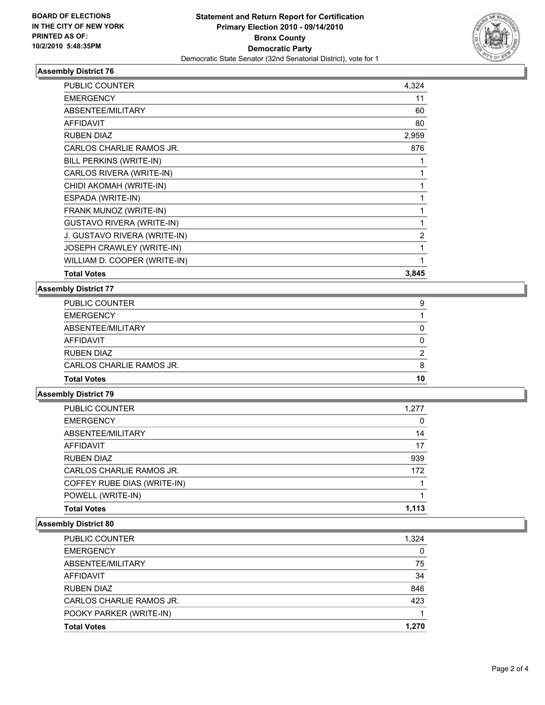

## **Assembly District 76**

| <b>PUBLIC COUNTER</b>            | 4,324 |
|----------------------------------|-------|
| <b>EMERGENCY</b>                 | 11    |
| ABSENTEE/MILITARY                | 60    |
| <b>AFFIDAVIT</b>                 | 80    |
| <b>RUBEN DIAZ</b>                | 2,959 |
| CARLOS CHARLIE RAMOS JR.         | 876   |
| BILL PERKINS (WRITE-IN)          |       |
| CARLOS RIVERA (WRITE-IN)         | 1     |
| CHIDI AKOMAH (WRITE-IN)          | 1     |
| ESPADA (WRITE-IN)                | 1     |
| FRANK MUNOZ (WRITE-IN)           | 1     |
| <b>GUSTAVO RIVERA (WRITE-IN)</b> | 1     |
| J. GUSTAVO RIVERA (WRITE-IN)     | 2     |
| JOSEPH CRAWLEY (WRITE-IN)        | 1     |
| WILLIAM D. COOPER (WRITE-IN)     | 1     |
| <b>Total Votes</b>               | 3,845 |

### **Assembly District 77**

| <b>Total Votes</b>       | 10 |
|--------------------------|----|
| CARLOS CHARLIE RAMOS JR. | 8  |
| <b>RUBEN DIAZ</b>        | 2  |
| AFFIDAVIT                | 0  |
| ABSENTEE/MILITARY        | 0  |
| <b>EMERGENCY</b>         |    |
| <b>PUBLIC COUNTER</b>    | 9  |

# **Assembly District 79**

| <b>Total Votes</b>          | 1.113 |
|-----------------------------|-------|
| POWELL (WRITE-IN)           |       |
| COFFEY RUBE DIAS (WRITE-IN) |       |
| CARLOS CHARLIE RAMOS JR.    | 172   |
| <b>RUBEN DIAZ</b>           | 939   |
| AFFIDAVIT                   | 17    |
| ABSENTEE/MILITARY           | 14    |
| <b>EMERGENCY</b>            | 0     |
| PUBLIC COUNTER              | 1,277 |

## **Assembly District 80**

| PUBLIC COUNTER           | 1.324 |
|--------------------------|-------|
| <b>EMERGENCY</b>         | 0     |
| ABSENTEE/MILITARY        | 75    |
| <b>AFFIDAVIT</b>         | 34    |
| RUBEN DIAZ               | 846   |
| CARLOS CHARLIE RAMOS JR. | 423   |
| POOKY PARKER (WRITE-IN)  |       |
| <b>Total Votes</b>       | 1.270 |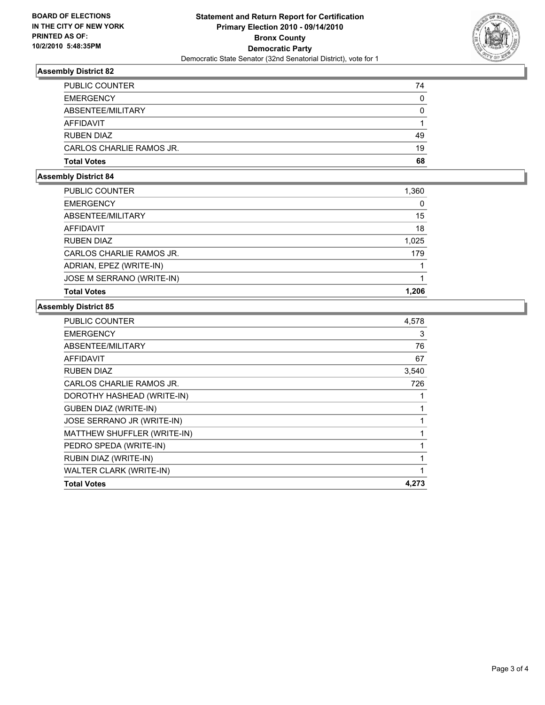

## **Assembly District 82**

| <b>PUBLIC COUNTER</b>    | 74 |
|--------------------------|----|
| <b>EMERGENCY</b>         | 0  |
| ABSENTEE/MILITARY        | 0  |
| AFFIDAVIT                |    |
| <b>RUBEN DIAZ</b>        | 49 |
| CARLOS CHARLIE RAMOS JR. | 19 |
| <b>Total Votes</b>       | 68 |

#### **Assembly District 84**

| PUBLIC COUNTER            | 1,360 |
|---------------------------|-------|
| <b>EMERGENCY</b>          | 0     |
| ABSENTEE/MILITARY         | 15    |
| AFFIDAVIT                 | 18    |
| <b>RUBEN DIAZ</b>         | 1,025 |
| CARLOS CHARLIE RAMOS JR.  | 179   |
| ADRIAN, EPEZ (WRITE-IN)   |       |
| JOSE M SERRANO (WRITE-IN) |       |
| <b>Total Votes</b>        | 1,206 |

## **Assembly District 85**

| <b>PUBLIC COUNTER</b>          | 4,578 |
|--------------------------------|-------|
| <b>EMERGENCY</b>               | 3     |
| ABSENTEE/MILITARY              | 76    |
| <b>AFFIDAVIT</b>               | 67    |
| <b>RUBEN DIAZ</b>              | 3,540 |
| CARLOS CHARLIE RAMOS JR.       | 726   |
| DOROTHY HASHEAD (WRITE-IN)     | 1     |
| <b>GUBEN DIAZ (WRITE-IN)</b>   | 1     |
| JOSE SERRANO JR (WRITE-IN)     | 1     |
| MATTHEW SHUFFLER (WRITE-IN)    |       |
| PEDRO SPEDA (WRITE-IN)         | 1     |
| RUBIN DIAZ (WRITE-IN)          |       |
| <b>WALTER CLARK (WRITE-IN)</b> | 1     |
| <b>Total Votes</b>             | 4,273 |